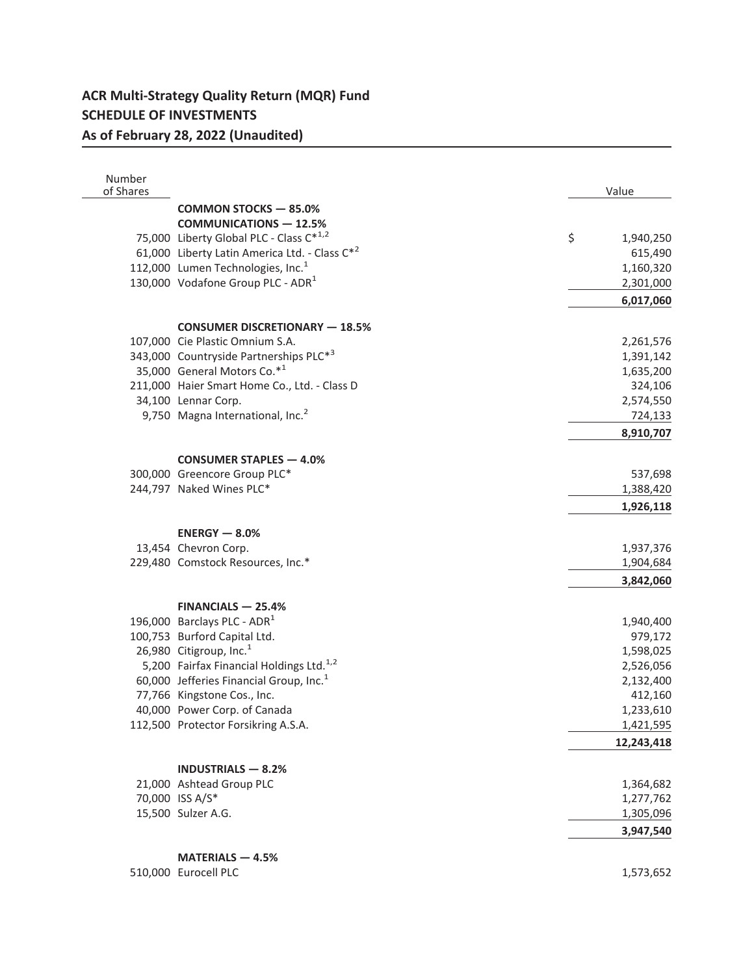## **ACR Multi-Strategy Quality Return (MQR) Fund SCHEDULE OF INVESTMENTS As of February 28, 2022 (Unaudited)**

| Number<br>of Shares |                                                      | Value                  |
|---------------------|------------------------------------------------------|------------------------|
|                     | <b>COMMON STOCKS - 85.0%</b>                         |                        |
|                     | <b>COMMUNICATIONS - 12.5%</b>                        |                        |
|                     | 75,000 Liberty Global PLC - Class C*1,2              | \$<br>1,940,250        |
|                     | 61,000 Liberty Latin America Ltd. - Class C*2        | 615,490                |
|                     | 112,000 Lumen Technologies, Inc. <sup>1</sup>        | 1,160,320              |
|                     | 130,000 Vodafone Group PLC - ADR <sup>1</sup>        |                        |
|                     |                                                      | 2,301,000              |
|                     |                                                      | 6,017,060              |
|                     | <b>CONSUMER DISCRETIONARY - 18.5%</b>                |                        |
|                     | 107,000 Cie Plastic Omnium S.A.                      | 2,261,576              |
|                     | 343,000 Countryside Partnerships PLC*3               | 1,391,142              |
|                     | 35,000 General Motors Co.*1                          | 1,635,200              |
|                     | 211,000 Haier Smart Home Co., Ltd. - Class D         | 324,106                |
|                     | 34,100 Lennar Corp.                                  | 2,574,550              |
|                     | 9,750 Magna International, Inc. <sup>2</sup>         | 724,133                |
|                     |                                                      | 8,910,707              |
|                     | <b>CONSUMER STAPLES - 4.0%</b>                       |                        |
|                     | 300,000 Greencore Group PLC*                         | 537,698                |
|                     | 244,797 Naked Wines PLC*                             | 1,388,420              |
|                     |                                                      | 1,926,118              |
|                     | $ENERGY - 8.0%$                                      |                        |
|                     | 13,454 Chevron Corp.                                 | 1,937,376              |
|                     | 229,480 Comstock Resources, Inc.*                    |                        |
|                     |                                                      | 1,904,684<br>3,842,060 |
|                     |                                                      |                        |
|                     | $FINANCIALS - 25.4%$                                 |                        |
|                     | 196,000 Barclays PLC - ADR <sup>1</sup>              | 1,940,400              |
|                     | 100,753 Burford Capital Ltd.                         | 979,172                |
|                     | 26,980 Citigroup, Inc. $1$                           | 1,598,025              |
|                     | 5,200 Fairfax Financial Holdings Ltd. <sup>1,2</sup> | 2,526,056              |
|                     | 60,000 Jefferies Financial Group, Inc. <sup>1</sup>  | 2,132,400              |
|                     | 77,766 Kingstone Cos., Inc.                          | 412,160                |
|                     | 40,000 Power Corp. of Canada                         | 1,233,610              |
|                     | 112,500 Protector Forsikring A.S.A.                  | 1,421,595              |
|                     |                                                      | 12,243,418             |
|                     | <b>INDUSTRIALS - 8.2%</b>                            |                        |
|                     | 21,000 Ashtead Group PLC                             | 1,364,682              |
|                     | 70,000 ISS A/S*                                      | 1,277,762              |
|                     | 15,500 Sulzer A.G.                                   | 1,305,096              |
|                     |                                                      | 3,947,540              |
|                     |                                                      |                        |
|                     | MATERIALS - 4.5%                                     |                        |
|                     | 510,000 Eurocell PLC                                 | 1,573,652              |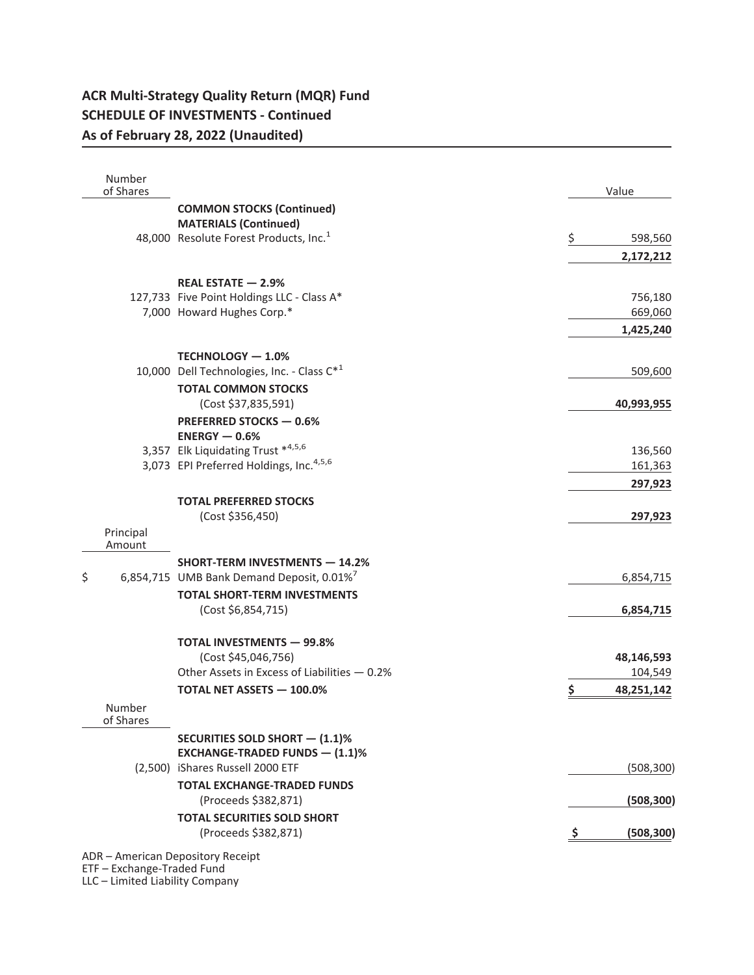## **ACR Multi-Strategy Quality Return (MQR) Fund SCHEDULE OF INVESTMENTS - Continued As of February 28, 2022 (Unaudited)**

| Number<br>of Shares |                                                        | Value            |
|---------------------|--------------------------------------------------------|------------------|
|                     | <b>COMMON STOCKS (Continued)</b>                       |                  |
|                     | <b>MATERIALS (Continued)</b>                           |                  |
|                     | 48,000 Resolute Forest Products, Inc. <sup>1</sup>     | \$<br>598,560    |
|                     |                                                        | 2,172,212        |
|                     | REAL ESTATE - 2.9%                                     |                  |
|                     | 127,733 Five Point Holdings LLC - Class A*             | 756,180          |
|                     | 7,000 Howard Hughes Corp.*                             | 669,060          |
|                     |                                                        | 1,425,240        |
|                     | <b>TECHNOLOGY - 1.0%</b>                               |                  |
|                     | 10,000 Dell Technologies, Inc. - Class C* <sup>1</sup> | 509,600          |
|                     | <b>TOTAL COMMON STOCKS</b>                             |                  |
|                     | (Cost \$37,835,591)                                    | 40,993,955       |
|                     | PREFERRED STOCKS - 0.6%                                |                  |
|                     | $ENERGY - 0.6%$                                        |                  |
|                     | 3,357 Elk Liquidating Trust *4,5,6                     | 136,560          |
|                     | 3,073 EPI Preferred Holdings, Inc. <sup>4,5,6</sup>    | 161,363          |
|                     |                                                        | 297,923          |
|                     | <b>TOTAL PREFERRED STOCKS</b>                          |                  |
|                     | (Cost \$356,450)                                       | 297,923          |
| Principal<br>Amount |                                                        |                  |
|                     | <b>SHORT-TERM INVESTMENTS - 14.2%</b>                  |                  |
| \$                  | 6,854,715 UMB Bank Demand Deposit, 0.01% <sup>7</sup>  | 6,854,715        |
|                     | <b>TOTAL SHORT-TERM INVESTMENTS</b>                    |                  |
|                     | (Cost \$6,854,715)                                     | 6,854,715        |
|                     | <b>TOTAL INVESTMENTS - 99.8%</b>                       |                  |
|                     | (Cost \$45,046,756)                                    | 48,146,593       |
|                     | Other Assets in Excess of Liabilities - 0.2%           | 104,549          |
|                     | <b>TOTAL NET ASSETS - 100.0%</b>                       | \$<br>48,251,142 |
| Number<br>of Shares |                                                        |                  |
|                     | <b>SECURITIES SOLD SHORT - (1.1)%</b>                  |                  |
|                     | <b>EXCHANGE-TRADED FUNDS - (1.1)%</b>                  |                  |
|                     | (2,500) iShares Russell 2000 ETF                       | (508, 300)       |
|                     | <b>TOTAL EXCHANGE-TRADED FUNDS</b>                     |                  |
|                     | (Proceeds \$382,871)                                   | (508, 300)       |
|                     | <b>TOTAL SECURITIES SOLD SHORT</b>                     |                  |
|                     | (Proceeds \$382,871)                                   | (508, 300)<br>Ş  |
|                     | ADR - American Depository Receipt                      |                  |

ETF – Exchange-Traded Fund LLC – Limited Liability Company